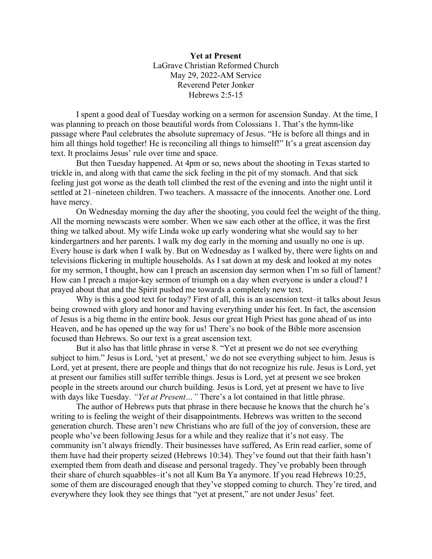**Yet at Present** LaGrave Christian Reformed Church May 29, 2022-AM Service Reverend Peter Jonker Hebrews 2:5-15

I spent a good deal of Tuesday working on a sermon for ascension Sunday. At the time, I was planning to preach on those beautiful words from Colossians 1. That's the hymn-like passage where Paul celebrates the absolute supremacy of Jesus. "He is before all things and in him all things hold together! He is reconciling all things to himself!" It's a great ascension day text. It proclaims Jesus' rule over time and space.

But then Tuesday happened. At 4pm or so, news about the shooting in Texas started to trickle in, and along with that came the sick feeling in the pit of my stomach. And that sick feeling just got worse as the death toll climbed the rest of the evening and into the night until it settled at 21–nineteen children. Two teachers. A massacre of the innocents. Another one. Lord have mercy.

On Wednesday morning the day after the shooting, you could feel the weight of the thing. All the morning newscasts were somber. When we saw each other at the office, it was the first thing we talked about. My wife Linda woke up early wondering what she would say to her kindergartners and her parents. I walk my dog early in the morning and usually no one is up. Every house is dark when I walk by. But on Wednesday as I walked by, there were lights on and televisions flickering in multiple households. As I sat down at my desk and looked at my notes for my sermon, I thought, how can I preach an ascension day sermon when I'm so full of lament? How can I preach a major-key sermon of triumph on a day when everyone is under a cloud? I prayed about that and the Spirit pushed me towards a completely new text.

Why is this a good text for today? First of all, this is an ascension text–it talks about Jesus being crowned with glory and honor and having everything under his feet. In fact, the ascension of Jesus is a big theme in the entire book. Jesus our great High Priest has gone ahead of us into Heaven, and he has opened up the way for us! There's no book of the Bible more ascension focused than Hebrews. So our text is a great ascension text.

But it also has that little phrase in verse 8. "Yet at present we do not see everything subject to him." Jesus is Lord, 'yet at present,' we do not see everything subject to him. Jesus is Lord, yet at present, there are people and things that do not recognize his rule. Jesus is Lord, yet at present our families still suffer terrible things. Jesus is Lord, yet at present we see broken people in the streets around our church building. Jesus is Lord, yet at present we have to live with days like Tuesday. *"Yet at Present*..." There's a lot contained in that little phrase.

The author of Hebrews puts that phrase in there because he knows that the church he's writing to is feeling the weight of their disappointments. Hebrews was written to the second generation church. These aren't new Christians who are full of the joy of conversion, these are people who've been following Jesus for a while and they realize that it's not easy. The community isn't always friendly. Their businesses have suffered, As Erin read earlier, some of them have had their property seized (Hebrews 10:34). They've found out that their faith hasn't exempted them from death and disease and personal tragedy. They've probably been through their share of church squabbles–it's not all Kum Ba Ya anymore. If you read Hebrews 10:25, some of them are discouraged enough that they've stopped coming to church. They're tired, and everywhere they look they see things that "yet at present," are not under Jesus' feet.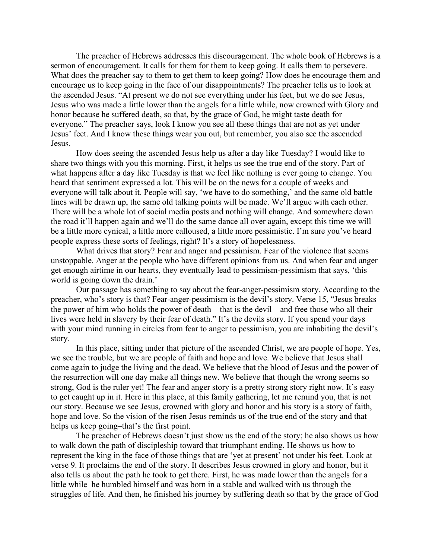The preacher of Hebrews addresses this discouragement. The whole book of Hebrews is a sermon of encouragement. It calls for them for them to keep going. It calls them to persevere. What does the preacher say to them to get them to keep going? How does he encourage them and encourage us to keep going in the face of our disappointments? The preacher tells us to look at the ascended Jesus. "At present we do not see everything under his feet, but we do see Jesus, Jesus who was made a little lower than the angels for a little while, now crowned with Glory and honor because he suffered death, so that, by the grace of God, he might taste death for everyone." The preacher says, look I know you see all these things that are not as yet under Jesus' feet. And I know these things wear you out, but remember, you also see the ascended Jesus.

How does seeing the ascended Jesus help us after a day like Tuesday? I would like to share two things with you this morning. First, it helps us see the true end of the story. Part of what happens after a day like Tuesday is that we feel like nothing is ever going to change. You heard that sentiment expressed a lot. This will be on the news for a couple of weeks and everyone will talk about it. People will say, 'we have to do something,' and the same old battle lines will be drawn up, the same old talking points will be made. We'll argue with each other. There will be a whole lot of social media posts and nothing will change. And somewhere down the road it'll happen again and we'll do the same dance all over again, except this time we will be a little more cynical, a little more calloused, a little more pessimistic. I'm sure you've heard people express these sorts of feelings, right? It's a story of hopelessness.

What drives that story? Fear and anger and pessimism. Fear of the violence that seems unstoppable. Anger at the people who have different opinions from us. And when fear and anger get enough airtime in our hearts, they eventually lead to pessimism-pessimism that says, 'this world is going down the drain.'

Our passage has something to say about the fear-anger-pessimism story. According to the preacher, who's story is that? Fear-anger-pessimism is the devil's story. Verse 15, "Jesus breaks the power of him who holds the power of death – that is the devil – and free those who all their lives were held in slavery by their fear of death." It's the devils story. If you spend your days with your mind running in circles from fear to anger to pessimism, you are inhabiting the devil's story.

In this place, sitting under that picture of the ascended Christ, we are people of hope. Yes, we see the trouble, but we are people of faith and hope and love. We believe that Jesus shall come again to judge the living and the dead. We believe that the blood of Jesus and the power of the resurrection will one day make all things new. We believe that though the wrong seems so strong, God is the ruler yet! The fear and anger story is a pretty strong story right now. It's easy to get caught up in it. Here in this place, at this family gathering, let me remind you, that is not our story. Because we see Jesus, crowned with glory and honor and his story is a story of faith, hope and love. So the vision of the risen Jesus reminds us of the true end of the story and that helps us keep going–that's the first point.

The preacher of Hebrews doesn't just show us the end of the story; he also shows us how to walk down the path of discipleship toward that triumphant ending. He shows us how to represent the king in the face of those things that are 'yet at present' not under his feet. Look at verse 9. It proclaims the end of the story. It describes Jesus crowned in glory and honor, but it also tells us about the path he took to get there. First, he was made lower than the angels for a little while–he humbled himself and was born in a stable and walked with us through the struggles of life. And then, he finished his journey by suffering death so that by the grace of God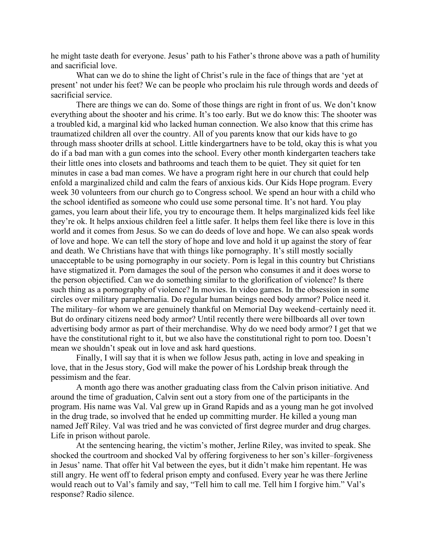he might taste death for everyone. Jesus' path to his Father's throne above was a path of humility and sacrificial love.

What can we do to shine the light of Christ's rule in the face of things that are 'yet at present' not under his feet? We can be people who proclaim his rule through words and deeds of sacrificial service.

There are things we can do. Some of those things are right in front of us. We don't know everything about the shooter and his crime. It's too early. But we do know this: The shooter was a troubled kid, a marginal kid who lacked human connection. We also know that this crime has traumatized children all over the country. All of you parents know that our kids have to go through mass shooter drills at school. Little kindergartners have to be told, okay this is what you do if a bad man with a gun comes into the school. Every other month kindergarten teachers take their little ones into closets and bathrooms and teach them to be quiet. They sit quiet for ten minutes in case a bad man comes. We have a program right here in our church that could help enfold a marginalized child and calm the fears of anxious kids. Our Kids Hope program. Every week 30 volunteers from our church go to Congress school. We spend an hour with a child who the school identified as someone who could use some personal time. It's not hard. You play games, you learn about their life, you try to encourage them. It helps marginalized kids feel like they're ok. It helps anxious children feel a little safer. It helps them feel like there is love in this world and it comes from Jesus. So we can do deeds of love and hope. We can also speak words of love and hope. We can tell the story of hope and love and hold it up against the story of fear and death. We Christians have that with things like pornography. It's still mostly socially unacceptable to be using pornography in our society. Porn is legal in this country but Christians have stigmatized it. Porn damages the soul of the person who consumes it and it does worse to the person objectified. Can we do something similar to the glorification of violence? Is there such thing as a pornography of violence? In movies. In video games. In the obsession in some circles over military paraphernalia. Do regular human beings need body armor? Police need it. The military–for whom we are genuinely thankful on Memorial Day weekend–certainly need it. But do ordinary citizens need body armor? Until recently there were billboards all over town advertising body armor as part of their merchandise. Why do we need body armor? I get that we have the constitutional right to it, but we also have the constitutional right to porn too. Doesn't mean we shouldn't speak out in love and ask hard questions.

Finally, I will say that it is when we follow Jesus path, acting in love and speaking in love, that in the Jesus story, God will make the power of his Lordship break through the pessimism and the fear.

A month ago there was another graduating class from the Calvin prison initiative. And around the time of graduation, Calvin sent out a story from one of the participants in the program. His name was Val. Val grew up in Grand Rapids and as a young man he got involved in the drug trade, so involved that he ended up committing murder. He killed a young man named Jeff Riley. Val was tried and he was convicted of first degree murder and drug charges. Life in prison without parole.

At the sentencing hearing, the victim's mother, Jerline Riley, was invited to speak. She shocked the courtroom and shocked Val by offering forgiveness to her son's killer–forgiveness in Jesus' name. That offer hit Val between the eyes, but it didn't make him repentant. He was still angry. He went off to federal prison empty and confused. Every year he was there Jerline would reach out to Val's family and say, "Tell him to call me. Tell him I forgive him." Val's response? Radio silence.